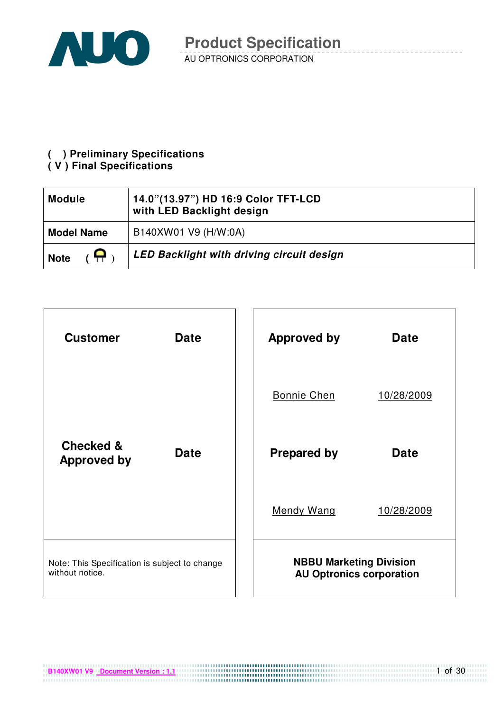

#### **( ) Preliminary Specifications**

#### **( V ) Final Specifications**

| <b>Module</b>     | 14.0"(13.97") HD 16:9 Color TFT-LCD<br>with LED Backlight design |
|-------------------|------------------------------------------------------------------|
| <b>Model Name</b> | B140XW01 V9 (H/W:0A)                                             |
| А<br><b>Note</b>  | LED Backlight with driving circuit design                        |



**B140XW01 V9** Document Version : 1.1

1 of 30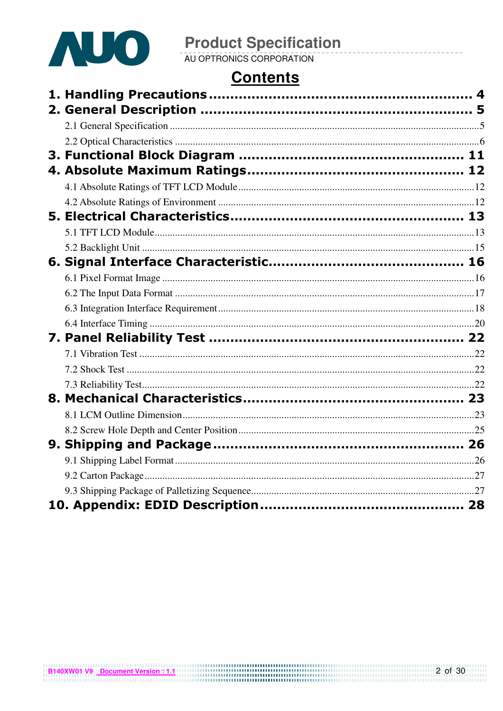

# **Contents**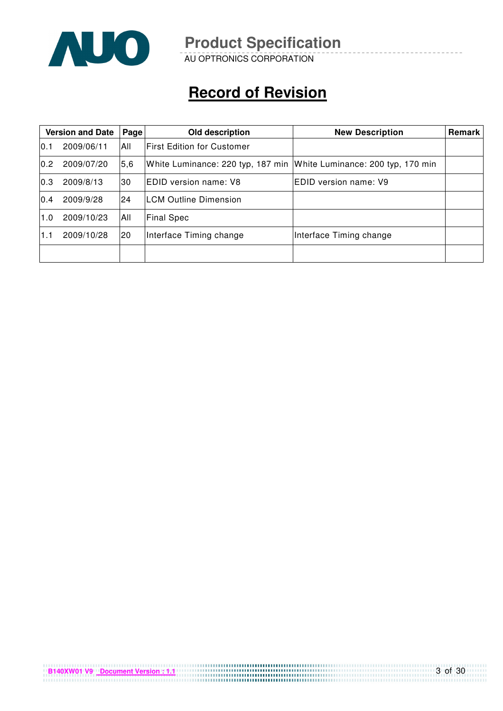

AU OPTRONICS CORPORATION

# **Record of Revision**

| <b>Version and Date</b><br>Page |            |     | Old description                                                     | <b>New Description</b>  | Remark |
|---------------------------------|------------|-----|---------------------------------------------------------------------|-------------------------|--------|
| 10.1                            | 2009/06/11 | All | <b>IFirst Edition for Customer</b>                                  |                         |        |
| 0.2                             | 2009/07/20 | 5,6 | White Luminance: 220 typ, 187 min White Luminance: 200 typ, 170 min |                         |        |
| 0.3                             | 2009/8/13  | 30  | IEDID version name: V8                                              | IEDID version name: V9  |        |
| 0.4                             | 2009/9/28  | 24  | <b>ILCM Outline Dimension</b>                                       |                         |        |
| 1.0                             | 2009/10/23 | All | <b>Final Spec</b>                                                   |                         |        |
| 1.1                             | 2009/10/28 | 20  | Interface Timing change                                             | Interface Timing change |        |
|                                 |            |     |                                                                     |                         |        |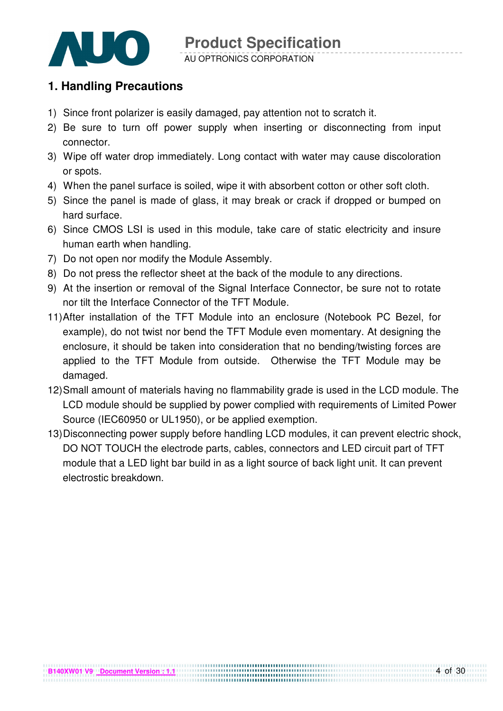

#### **1. Handling Precautions**

- 1) Since front polarizer is easily damaged, pay attention not to scratch it.
- 2) Be sure to turn off power supply when inserting or disconnecting from input connector.
- 3) Wipe off water drop immediately. Long contact with water may cause discoloration or spots.
- 4) When the panel surface is soiled, wipe it with absorbent cotton or other soft cloth.
- 5) Since the panel is made of glass, it may break or crack if dropped or bumped on hard surface.
- 6) Since CMOS LSI is used in this module, take care of static electricity and insure human earth when handling.
- 7) Do not open nor modify the Module Assembly.
- 8) Do not press the reflector sheet at the back of the module to any directions.
- 9) At the insertion or removal of the Signal Interface Connector, be sure not to rotate nor tilt the Interface Connector of the TFT Module.
- 11) After installation of the TFT Module into an enclosure (Notebook PC Bezel, for example), do not twist nor bend the TFT Module even momentary. At designing the enclosure, it should be taken into consideration that no bending/twisting forces are applied to the TFT Module from outside. Otherwise the TFT Module may be damaged.
- 12) Small amount of materials having no flammability grade is used in the LCD module. The LCD module should be supplied by power complied with requirements of Limited Power Source (IEC60950 or UL1950), or be applied exemption.
- 13) Disconnecting power supply before handling LCD modules, it can prevent electric shock, DO NOT TOUCH the electrode parts, cables, connectors and LED circuit part of TFT module that a LED light bar build in as a light source of back light unit. It can prevent electrostic breakdown.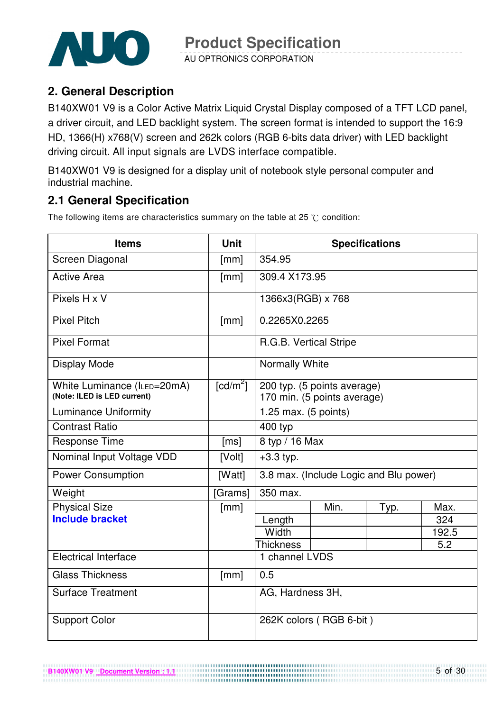

AU OPTRONICS CORPORATION

### **2. General Description**

B140XW01 V9 is a Color Active Matrix Liquid Crystal Display composed of a TFT LCD panel, a driver circuit, and LED backlight system. The screen format is intended to support the 16:9 HD, 1366(H) x768(V) screen and 262k colors (RGB 6-bits data driver) with LED backlight driving circuit. All input signals are LVDS interface compatible.

B140XW01 V9 is designed for a display unit of notebook style personal computer and industrial machine.

### **2.1 General Specification**

The following items are characteristics summary on the table at 25  $\degree$ C condition:

| <b>Items</b>                                               | <b>Unit</b>            |                        |                                                            | <b>Specifications</b>                  |       |
|------------------------------------------------------------|------------------------|------------------------|------------------------------------------------------------|----------------------------------------|-------|
| Screen Diagonal                                            | [mm]                   | 354.95                 |                                                            |                                        |       |
| <b>Active Area</b>                                         | [mm]                   | 309.4 X173.95          |                                                            |                                        |       |
| Pixels H x V                                               |                        | 1366x3(RGB) x 768      |                                                            |                                        |       |
| <b>Pixel Pitch</b>                                         | [mm]                   | 0.2265X0.2265          |                                                            |                                        |       |
| <b>Pixel Format</b>                                        |                        | R.G.B. Vertical Stripe |                                                            |                                        |       |
| Display Mode                                               |                        | Normally White         |                                                            |                                        |       |
| White Luminance (ILED=20mA)<br>(Note: ILED is LED current) | $\lceil cd/m^2 \rceil$ |                        | 200 typ. (5 points average)<br>170 min. (5 points average) |                                        |       |
| <b>Luminance Uniformity</b>                                |                        | 1.25 max. $(5$ points) |                                                            |                                        |       |
| <b>Contrast Ratio</b>                                      |                        | 400 typ                |                                                            |                                        |       |
| <b>Response Time</b>                                       | [ms]                   | 8 typ / 16 Max         |                                                            |                                        |       |
| Nominal Input Voltage VDD                                  | [Volt]                 | $+3.3$ typ.            |                                                            |                                        |       |
| <b>Power Consumption</b>                                   | [Watt]                 |                        |                                                            | 3.8 max. (Include Logic and Blu power) |       |
| Weight                                                     | [Grams]                | 350 max.               |                                                            |                                        |       |
| <b>Physical Size</b>                                       | [mm]                   |                        | Min.                                                       | Typ.                                   | Max.  |
| <b>Include bracket</b>                                     |                        | Length                 |                                                            |                                        | 324   |
|                                                            |                        | Width                  |                                                            |                                        | 192.5 |
|                                                            |                        | <b>Thickness</b>       |                                                            |                                        | 5.2   |
| <b>Electrical Interface</b>                                |                        | 1 channel LVDS         |                                                            |                                        |       |
| <b>Glass Thickness</b>                                     | [mm]                   | 0.5                    |                                                            |                                        |       |
| <b>Surface Treatment</b>                                   |                        | AG, Hardness 3H,       |                                                            |                                        |       |
| <b>Support Color</b>                                       |                        |                        | 262K colors (RGB 6-bit)                                    |                                        |       |

................................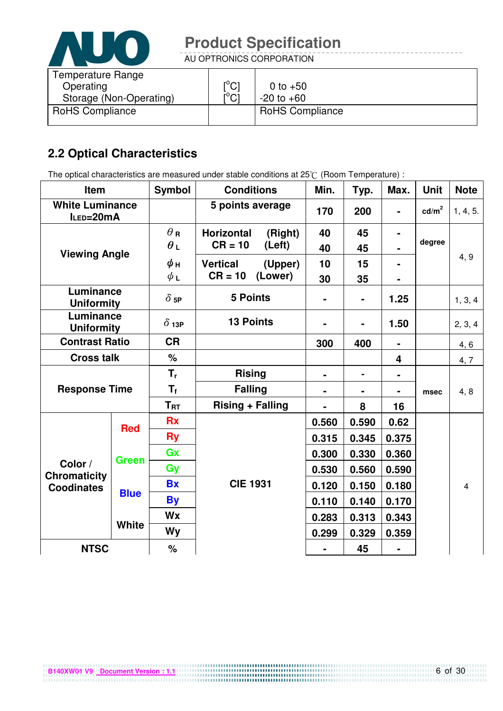

AU OPTRONICS CORPORATION

| Temperature Range<br>Operating | $\mathop{\rm l{^{\circ}Cl}}$<br>$\mathsf{I}^\circ\mathsf{Cl}$ | 0 to $+50$<br>$-20$ to $+60$ |
|--------------------------------|---------------------------------------------------------------|------------------------------|
| Storage (Non-Operating)        |                                                               |                              |
| <b>RoHS Compliance</b>         |                                                               | <b>RoHS Compliance</b>       |

### **2.2 Optical Characteristics**

The optical characteristics are measured under stable conditions at 25°C (Room Temperature) :

| Item                                |              | <b>Symbol</b> | <b>Conditions</b>            |         | Min.           | Typ.           | Max.           | <b>Unit</b>     | <b>Note</b>    |
|-------------------------------------|--------------|---------------|------------------------------|---------|----------------|----------------|----------------|-----------------|----------------|
| <b>White Luminance</b><br>ILED=20mA |              |               | 5 points average             |         | 170            | 200            | $\blacksquare$ | $\text{cd/m}^2$ | 1, 4, 5.       |
|                                     |              | $\theta$ R    | <b>Horizontal</b><br>(Right) |         | 40             | 45             |                |                 |                |
| <b>Viewing Angle</b>                |              | $\theta$ L    | $CR = 10$                    | (Left)  | 40             | 45             |                | degree          |                |
|                                     |              | $\phi$ н      | <b>Vertical</b>              | (Upper) | 10             | 15             |                |                 | 4, 9           |
|                                     |              | $\phi$ L      | $CR = 10$                    | (Lower) | 30             | 35             |                |                 |                |
| Luminance<br><b>Uniformity</b>      |              | $\delta$ 5P   | <b>5 Points</b>              |         |                | $\blacksquare$ | 1.25           |                 | 1, 3, 4        |
| Luminance<br><b>Uniformity</b>      |              | $\delta$ 13P  | <b>13 Points</b>             |         |                |                | 1.50           |                 | 2, 3, 4        |
| <b>Contrast Ratio</b>               |              | <b>CR</b>     |                              |         | 300            | 400            |                |                 | 4, 6           |
| <b>Cross talk</b>                   |              | %             |                              |         |                |                | 4              |                 | 4, 7           |
|                                     |              | $T_{\rm r}$   | <b>Rising</b>                |         | $\blacksquare$ |                |                |                 |                |
| <b>Response Time</b>                |              | $T_f$         | <b>Falling</b>               |         | Ξ.             |                |                | msec            | 4, 8           |
|                                     |              | $T_{\sf RT}$  | <b>Rising + Falling</b>      |         | -              | 8              | 16             |                 |                |
| <b>Red</b>                          |              | <b>Rx</b>     |                              |         | 0.560          | 0.590          | 0.62           |                 |                |
|                                     |              | <b>Ry</b>     |                              |         | 0.315          | 0.345          | 0.375          |                 |                |
|                                     | <b>Green</b> | Gx            |                              |         | 0.300          | 0.330          | 0.360          |                 |                |
| Color /<br><b>Chromaticity</b>      |              | Gy            |                              |         | 0.530          | 0.560          | 0.590          |                 |                |
| <b>Coodinates</b>                   |              | <b>Bx</b>     | <b>CIE 1931</b>              |         | 0.120          | 0.150          | 0.180          |                 | $\overline{4}$ |
|                                     | <b>Blue</b>  | <b>By</b>     |                              |         | 0.110          | 0.140          | 0.170          |                 |                |
|                                     |              | <b>Wx</b>     |                              |         | 0.283          | 0.313          | 0.343          |                 |                |
|                                     | <b>White</b> | <b>Wy</b>     |                              |         | 0.299          | 0.329          | 0.359          |                 |                |
| <b>NTSC</b>                         |              | $\%$          |                              |         |                | 45             |                |                 |                |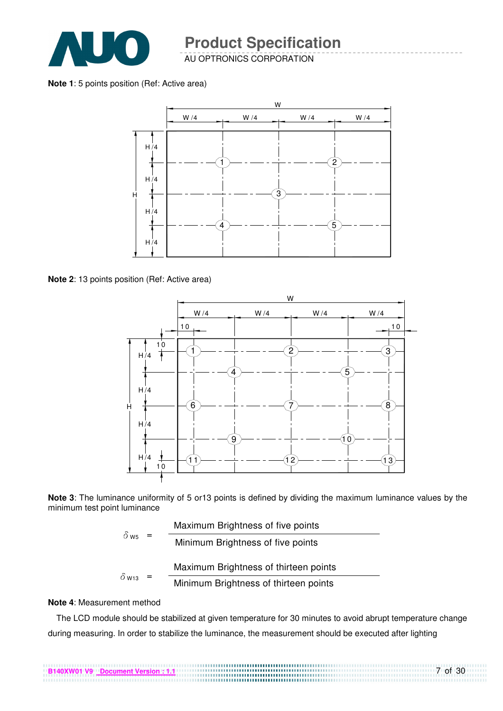

AU OPTRONICS CORPORATION

**Note 1**: 5 points position (Ref: Active area)



**Note 2**: 13 points position (Ref: Active area)



**Note 3**: The luminance uniformity of 5 or13 points is defined by dividing the maximum luminance values by the minimum test point luminance

|                         | Maximum Brightness of five points     |
|-------------------------|---------------------------------------|
| $\delta$ W <sub>5</sub> | Minimum Brightness of five points     |
|                         | Maximum Brightness of thirteen points |
| $\delta$ W13            | Minimum Brightness of thirteen points |

#### **Note 4**: Measurement method

The LCD module should be stabilized at given temperature for 30 minutes to avoid abrupt temperature change during measuring. In order to stabilize the luminance, the measurement should be executed after lighting

7 of 30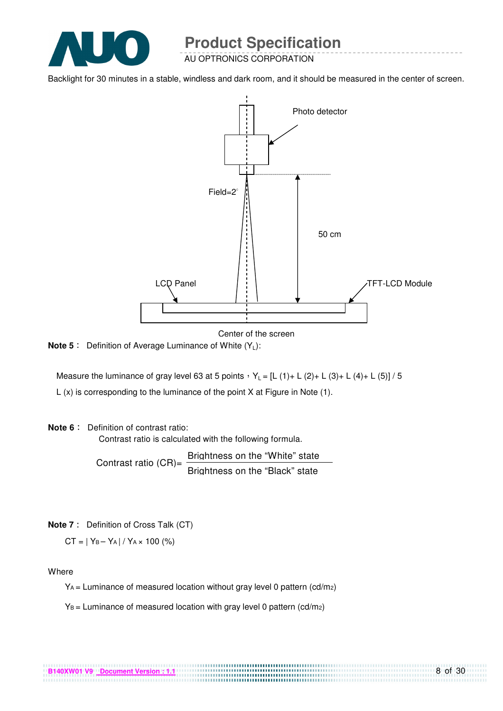

AU OPTRONICS CORPORATION

Backlight for 30 minutes in a stable, windless and dark room, and it should be measured in the center of screen.



Center of the screen

**Note 5** : Definition of Average Luminance of White (Y<sub>L</sub>):

Measure the luminance of gray level 63 at 5 points  $Y_L = [L (1) + L (2) + L (3) + L (4) + L (5)] / 5$ L (x) is corresponding to the luminance of the point X at Figure in Note (1).

#### **Note 6** : Definition of contrast ratio:

Contrast ratio is calculated with the following formula.

Contrast ratio  $(CR)$ = Brightness on the "White" state Brightness on the "Black" state

**Note 7** : Definition of Cross Talk (CT)

 $CT = |Y_B - Y_A| / Y_A \times 100$  (%)

Where

 $Y_A$  = Luminance of measured location without gray level 0 pattern (cd/m<sub>2</sub>)

.................................

 $Y_B =$  Luminance of measured location with gray level 0 pattern (cd/m2)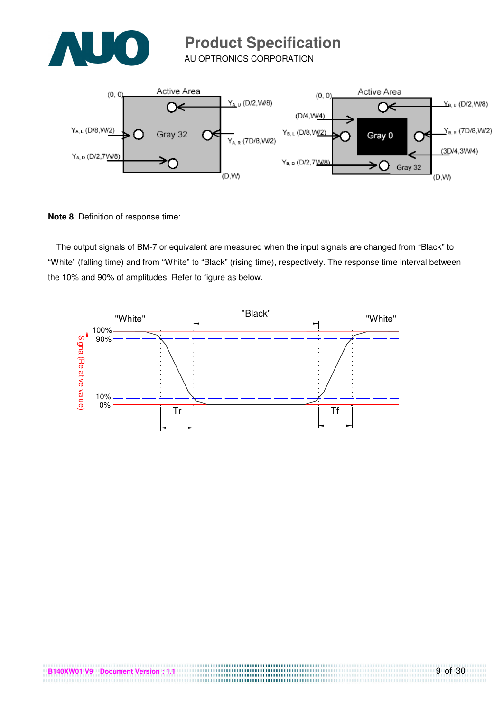

AU OPTRONICS CORPORATION



**Note 8**: Definition of response time:

The output signals of BM-7 or equivalent are measured when the input signals are changed from "Black" to "White" (falling time) and from "White" to "Black" (rising time), respectively. The response time interval between the 10% and 90% of amplitudes. Refer to figure as below.

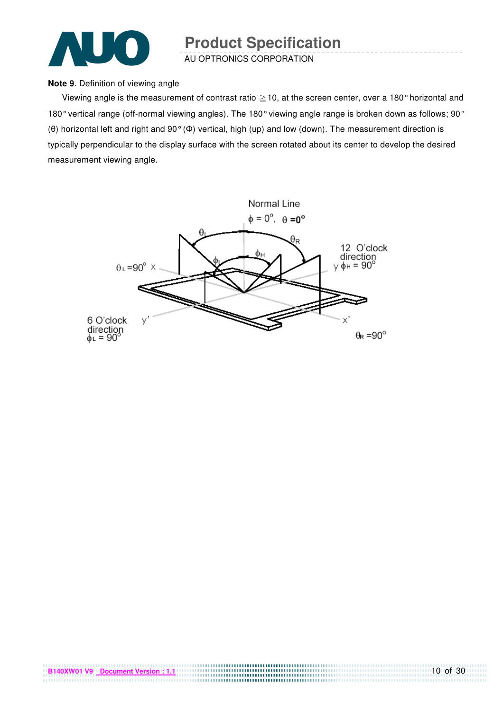

AU OPTRONICS CORPORATION

#### **Note 9**. Definition of viewing angle

Viewing angle is the measurement of contrast ratio  $\geq$  10, at the screen center, over a 180° horizontal and 180° vertical range (off-normal viewing angles). The 180° viewing angle range is broken down as follows; 90° (θ) horizontal left and right and 90° (Φ) vertical, high (up) and low (down). The measurement direction is typically perpendicular to the display surface with the screen rotated about its center to develop the desired measurement viewing angle.

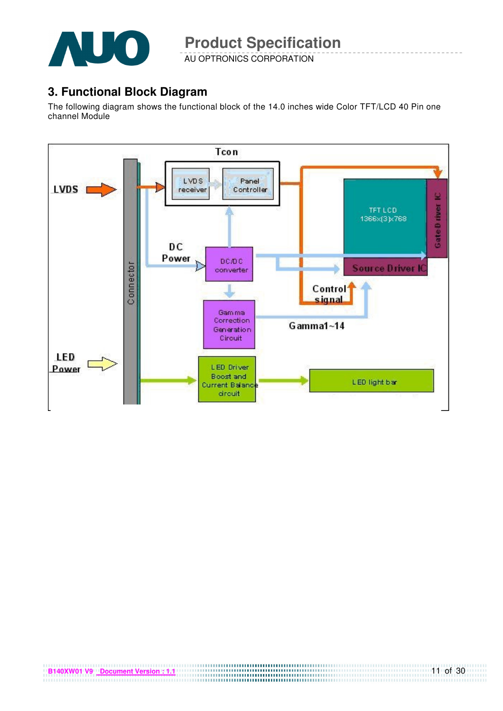

AU OPTRONICS CORPORATION

### **3. Functional Block Diagram**

The following diagram shows the functional block of the 14.0 inches wide Color TFT/LCD 40 Pin one channel Module

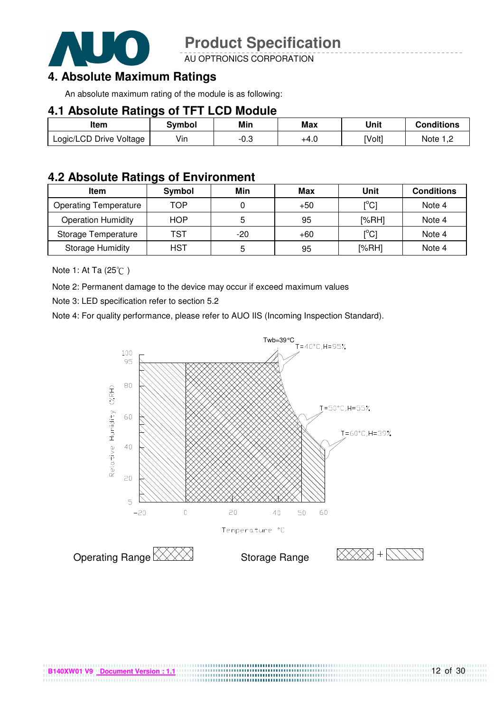

AU OPTRONICS CORPORATION

### **4. Absolute Maximum Ratings**

An absolute maximum rating of the module is as following:

#### **4.1 Absolute Ratings of TFT LCD Module**

| Item                    | Svmbol | Min  | <b>Max</b> | Unit   | Conditions   |
|-------------------------|--------|------|------------|--------|--------------|
| Logic/LCD Drive Voltage | Vin    | -0.3 | +4.U       | [Volt] | Note<br>ے, ا |

#### **4.2 Absolute Ratings of Environment**

| <b>Item</b>                  | Symbol     | Min   | Max   | Unit                                    | <b>Conditions</b> |
|------------------------------|------------|-------|-------|-----------------------------------------|-------------------|
| <b>Operating Temperature</b> | TOP        |       | $+50$ | $\mathsf{I}^\circ\mathsf{C} \mathsf{I}$ | Note 4            |
| <b>Operation Humidity</b>    | <b>HOP</b> | 5     | 95    | [%RH]                                   | Note 4            |
| Storage Temperature          | TST        | $-20$ | $+60$ | $\mathsf{I}^{\circ}$ Cl                 | Note 4            |
| <b>Storage Humidity</b>      | HST        | 5     | 95    | [%RH]                                   | Note 4            |

Note 1: At Ta (25°C)

Note 2: Permanent damage to the device may occur if exceed maximum values

Note 3: LED specification refer to section 5.2

Note 4: For quality performance, please refer to AUO IIS (Incoming Inspection Standard).



....................................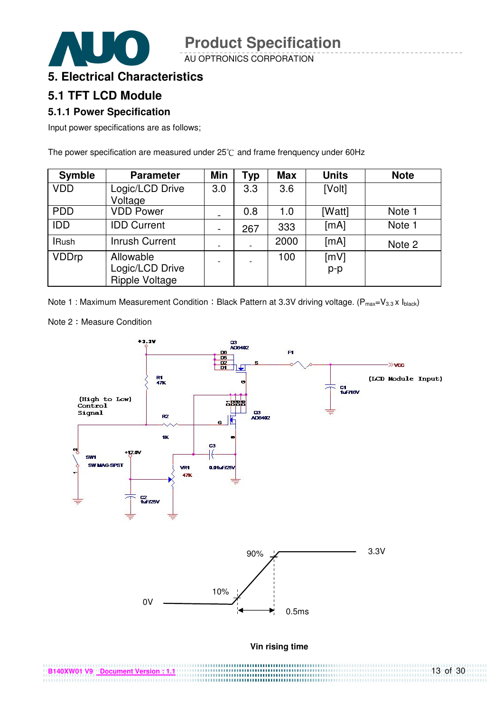AU OPTRONICS CORPORATION



#### **5. Electrical Characteristics**

### **5.1 TFT LCD Module**

#### **5.1.1 Power Specification**

Input power specifications are as follows;

The power specification are measured under  $25^{\circ}$ C and frame frenquency under 60Hz

| <b>Symble</b> | <b>Parameter</b>                                      | Min                          | <b>Typ</b> | <b>Max</b> | <b>Units</b>  | <b>Note</b> |
|---------------|-------------------------------------------------------|------------------------------|------------|------------|---------------|-------------|
| <b>VDD</b>    | Logic/LCD Drive<br>Voltage                            | 3.0                          | 3.3        | 3.6        | [Volt]        |             |
| <b>PDD</b>    | <b>VDD Power</b>                                      |                              | 0.8        | 1.0        | [Watt]        | Note 1      |
| <b>IDD</b>    | <b>IDD Current</b>                                    | $\qquad \qquad \blacksquare$ | 267        | 333        | [mA]          | Note 1      |
| <b>IRush</b>  | <b>Inrush Current</b>                                 |                              |            | 2000       | [mA]          | Note 2      |
| <b>VDDrp</b>  | Allowable<br>Logic/LCD Drive<br><b>Ripple Voltage</b> |                              |            | 100        | [mV]<br>$p-p$ |             |

Note 1 : Maximum Measurement Condition : Black Pattern at 3.3V driving voltage. ( $P_{max}=V_{3.3} \times I_{black}$ )



Note 2: Measure Condition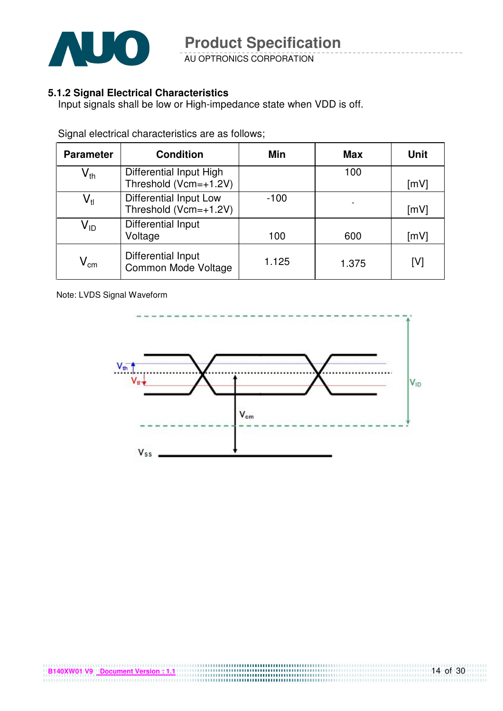

AU OPTRONICS CORPORATION

#### **5.1.2 Signal Electrical Characteristics**

Input signals shall be low or High-impedance state when VDD is off.

| <b>Parameter</b>           | <b>Condition</b>                                       | Min    | <b>Max</b> | <b>Unit</b> |
|----------------------------|--------------------------------------------------------|--------|------------|-------------|
| $\mathsf{V}_{\mathsf{th}}$ | Differential Input High<br>Threshold (Vcm=+1.2V)       |        | 100        | [mV]        |
| $\mathsf{V}_{\mathsf{tl}}$ | <b>Differential Input Low</b><br>Threshold (Vcm=+1.2V) | $-100$ |            | [mV]        |
| $V_{ID}$                   | Differential Input<br>Voltage                          | 100    | 600        | [mV]        |
| $\mathsf{V}_{\mathsf{cm}}$ | Differential Input<br><b>Common Mode Voltage</b>       | 1.125  | 1.375      | [V]         |

Signal electrical characteristics are as follows;

Note: LVDS Signal Waveform

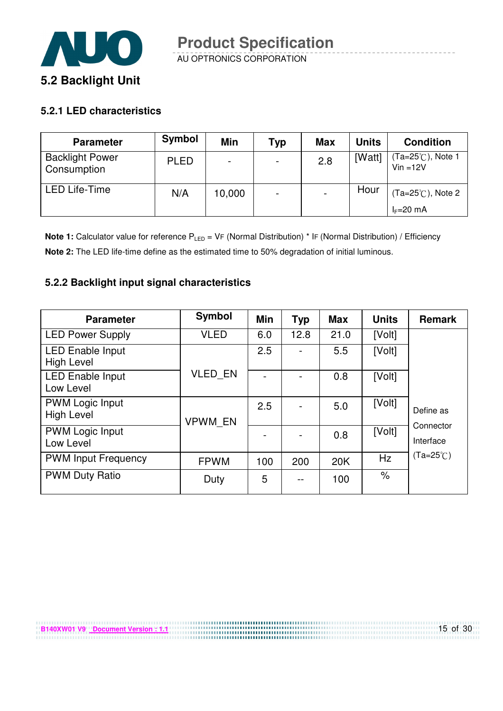

#### **5.2.1 LED characteristics**

**B140XW01 V9 Document Version : 1.1**

| <b>Parameter</b>                      | Symbol      | Min    | Typ                      | <b>Max</b> | <b>Units</b> | <b>Condition</b>                |
|---------------------------------------|-------------|--------|--------------------------|------------|--------------|---------------------------------|
| <b>Backlight Power</b><br>Consumption | <b>PLED</b> |        | $\overline{\phantom{0}}$ | 2.8        | [Watt]       | (Ta=25℃), Note 1<br>$Vin = 12V$ |
| <b>LED Life-Time</b>                  | N/A         | 10,000 | $\overline{\phantom{0}}$ |            | Hour         | $(Ta=25^{\circ}C)$ , Note 2     |
|                                       |             |        |                          |            |              | $I_F=20$ mA                     |

**Note 1:** Calculator value for reference P<sub>LED</sub> = VF (Normal Distribution) \* IF (Normal Distribution) / Efficiency **Note 2:** The LED life-time define as the estimated time to 50% degradation of initial luminous.

#### **5.2.2 Backlight input signal characteristics**

| <b>Parameter</b>                             | Symbol         | Min | <b>Typ</b> | <b>Max</b> | <b>Units</b> | <b>Remark</b>          |
|----------------------------------------------|----------------|-----|------------|------------|--------------|------------------------|
| <b>LED Power Supply</b>                      | <b>VLED</b>    | 6.0 | 12.8       | 21.0       | [Volt]       |                        |
| <b>LED Enable Input</b><br><b>High Level</b> |                | 2.5 |            | 5.5        | [Volt]       |                        |
| <b>LED Enable Input</b><br>Low Level         | <b>VLED EN</b> |     |            | 0.8        | [Volt]       |                        |
| <b>PWM Logic Input</b><br><b>High Level</b>  | <b>VPWM EN</b> | 2.5 |            | 5.0        | [Volt]       | Define as              |
| <b>PWM Logic Input</b><br>Low Level          |                |     |            | 0.8        | [Volt]       | Connector<br>Interface |
| <b>PWM Input Frequency</b>                   | <b>FPWM</b>    | 100 | 200        | 20K        | Hz           | $(Ta=25^{\circ}C)$     |
| <b>PWM Duty Ratio</b>                        | Duty           | 5   | --         | 100        | $\%$         |                        |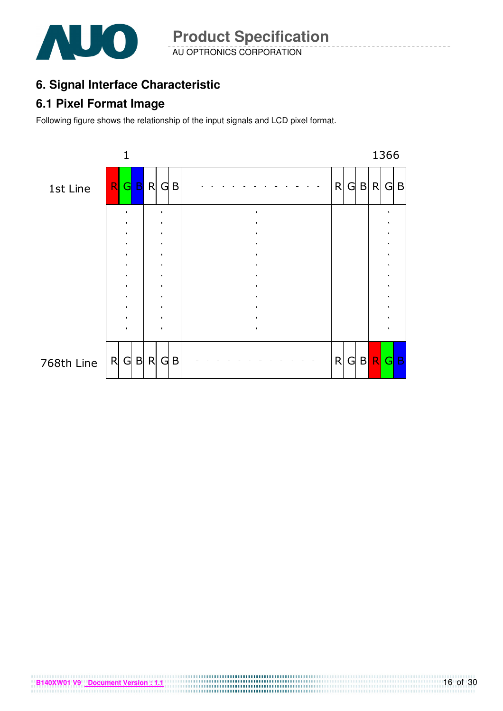

AU OPTRONICS CORPORATION **Product Specification** 

## **6. Signal Interface Characteristic**

### **6.1 Pixel Format Image**

Following figure shows the relationship of the input signals and LCD pixel format.



**B140XW01 V9** Document Version : 1.1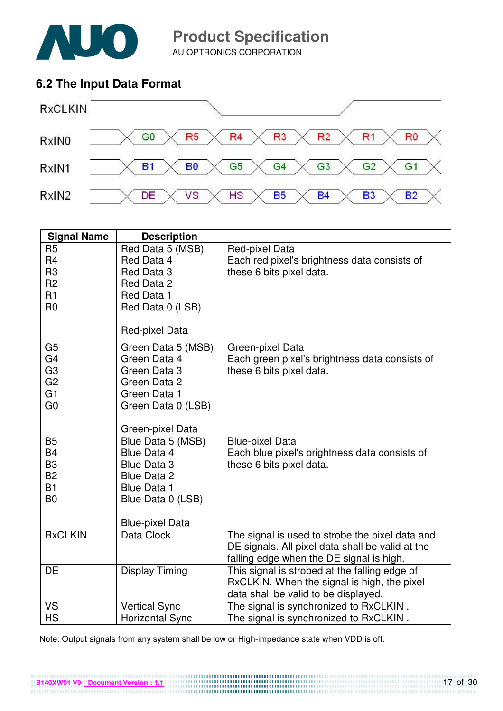

AU OPTRONICS CORPORATION

### **6.2 The Input Data Format**



| <b>Signal Name</b>                                                                                       | <b>Description</b>                                                                                                                  |                                                                                                                                                 |
|----------------------------------------------------------------------------------------------------------|-------------------------------------------------------------------------------------------------------------------------------------|-------------------------------------------------------------------------------------------------------------------------------------------------|
| R <sub>5</sub><br>R <sub>4</sub><br>R <sub>3</sub><br>R <sub>2</sub><br>R1<br>R <sub>0</sub>             | Red Data 5 (MSB)<br>Red Data 4<br>Red Data 3<br>Red Data 2<br>Red Data 1<br>Red Data 0 (LSB)<br>Red-pixel Data                      | Red-pixel Data<br>Each red pixel's brightness data consists of<br>these 6 bits pixel data.                                                      |
| G <sub>5</sub><br>G <sub>4</sub><br>G <sub>3</sub><br>G <sub>2</sub><br>G <sub>1</sub><br>G <sub>0</sub> | Green Data 5 (MSB)<br>Green Data 4<br>Green Data 3<br>Green Data 2<br>Green Data 1<br>Green Data 0 (LSB)<br>Green-pixel Data        | Green-pixel Data<br>Each green pixel's brightness data consists of<br>these 6 bits pixel data.                                                  |
| <b>B5</b><br><b>B4</b><br>B <sub>3</sub><br><b>B2</b><br><b>B1</b><br>B <sub>0</sub>                     | Blue Data 5 (MSB)<br>Blue Data 4<br>Blue Data 3<br>Blue Data 2<br><b>Blue Data 1</b><br>Blue Data 0 (LSB)<br><b>Blue-pixel Data</b> | <b>Blue-pixel Data</b><br>Each blue pixel's brightness data consists of<br>these 6 bits pixel data.                                             |
| <b>RxCLKIN</b>                                                                                           | Data Clock                                                                                                                          | The signal is used to strobe the pixel data and<br>DE signals. All pixel data shall be valid at the<br>falling edge when the DE signal is high. |
| DE                                                                                                       | <b>Display Timing</b>                                                                                                               | This signal is strobed at the falling edge of<br>RxCLKIN. When the signal is high, the pixel<br>data shall be valid to be displayed.            |
| VS                                                                                                       | <b>Vertical Sync</b>                                                                                                                | The signal is synchronized to RxCLKIN.                                                                                                          |
| <b>HS</b>                                                                                                | <b>Horizontal Sync</b>                                                                                                              | The signal is synchronized to RxCLKIN.                                                                                                          |

Note: Output signals from any system shall be low or High-impedance state when VDD is off.

**B140XW01 V9** Document Version : 1.1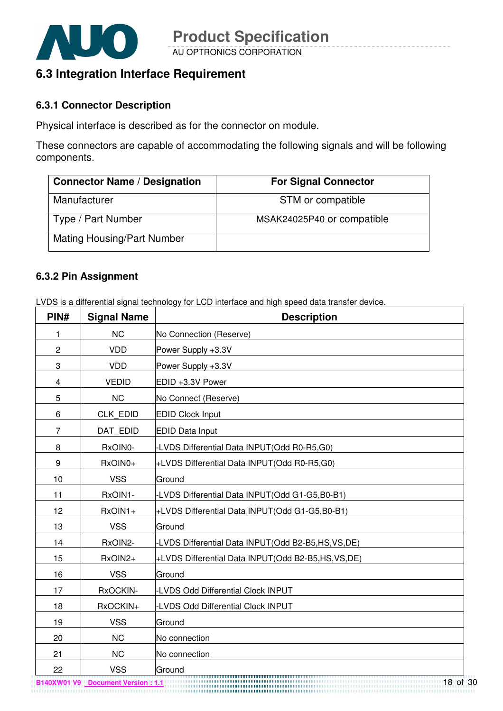

### **6.3 Integration Interface Requirement**

#### **6.3.1 Connector Description**

Physical interface is described as for the connector on module.

These connectors are capable of accommodating the following signals and will be following components.

| <b>Connector Name / Designation</b> | <b>For Signal Connector</b> |
|-------------------------------------|-----------------------------|
| Manufacturer                        | STM or compatible           |
| Type / Part Number                  | MSAK24025P40 or compatible  |
| <b>Mating Housing/Part Number</b>   |                             |

#### **6.3.2 Pin Assignment**

LVDS is a differential signal technology for LCD interface and high speed data transfer device.

| PIN#           | <b>Signal Name</b> | <b>Description</b>                                  |
|----------------|--------------------|-----------------------------------------------------|
| 1              | <b>NC</b>          | No Connection (Reserve)                             |
| $\overline{c}$ | <b>VDD</b>         | Power Supply +3.3V                                  |
| 3              | <b>VDD</b>         | Power Supply +3.3V                                  |
| 4              | <b>VEDID</b>       | EDID +3.3V Power                                    |
| 5              | <b>NC</b>          | No Connect (Reserve)                                |
| 6              | <b>CLK EDID</b>    | <b>EDID Clock Input</b>                             |
| $\overline{7}$ | DAT_EDID           | <b>EDID Data Input</b>                              |
| 8              | RxOIN0-            | -LVDS Differential Data INPUT(Odd R0-R5,G0)         |
| 9              | RxOIN0+            | +LVDS Differential Data INPUT(Odd R0-R5,G0)         |
| 10             | <b>VSS</b>         | Ground                                              |
| 11             | RxOIN1-            | -LVDS Differential Data INPUT(Odd G1-G5,B0-B1)      |
| 12             | RxOIN1+            | +LVDS Differential Data INPUT(Odd G1-G5,B0-B1)      |
| 13             | <b>VSS</b>         | Ground                                              |
| 14             | RxOIN2-            | -LVDS Differential Data INPUT(Odd B2-B5,HS,VS,DE)   |
| 15             | RxOIN2+            | +LVDS Differential Data INPUT(Odd B2-B5,HS, VS, DE) |
| 16             | <b>VSS</b>         | Ground                                              |
| 17             | RxOCKIN-           | -LVDS Odd Differential Clock INPUT                  |
| 18             | RxOCKIN+           | <b>LVDS Odd Differential Clock INPUT</b>            |
| 19             | <b>VSS</b>         | Ground                                              |
| 20             | <b>NC</b>          | No connection                                       |
| 21             | <b>NC</b>          | No connection                                       |
| 22             | <b>VSS</b>         | Ground<br>,,,,,,,,,,,,,,,,,,,,,,                    |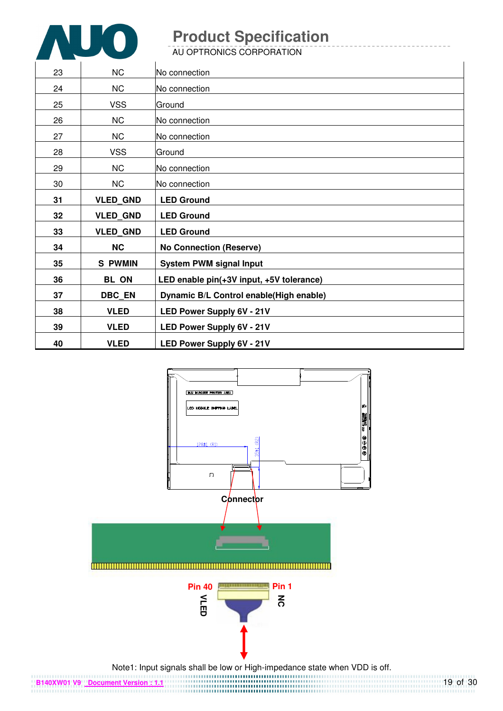

AU OPTRONICS CORPORATION

| 23 | <b>NC</b>       | INo connection                           |
|----|-----------------|------------------------------------------|
| 24 | <b>NC</b>       | No connection                            |
| 25 | <b>VSS</b>      | Ground                                   |
| 26 | NC              | No connection                            |
| 27 | NC              | No connection                            |
| 28 | <b>VSS</b>      | lGround                                  |
| 29 | <b>NC</b>       | No connection                            |
| 30 | <b>NC</b>       | No connection                            |
| 31 | <b>VLED_GND</b> | <b>LED Ground</b>                        |
|    |                 |                                          |
| 32 | <b>VLED_GND</b> | <b>LED Ground</b>                        |
| 33 | <b>VLED GND</b> | <b>LED Ground</b>                        |
| 34 | <b>NC</b>       | <b>No Connection (Reserve)</b>           |
| 35 | <b>S PWMIN</b>  | <b>System PWM signal Input</b>           |
| 36 | <b>BL ON</b>    | LED enable pin(+3V input, +5V tolerance) |
| 37 | <b>DBC_EN</b>   | Dynamic B/L Control enable(High enable)  |
| 38 | <b>VLED</b>     | LED Power Supply 6V - 21V                |
| 39 | <b>VLED</b>     | LED Power Supply 6V - 21V                |

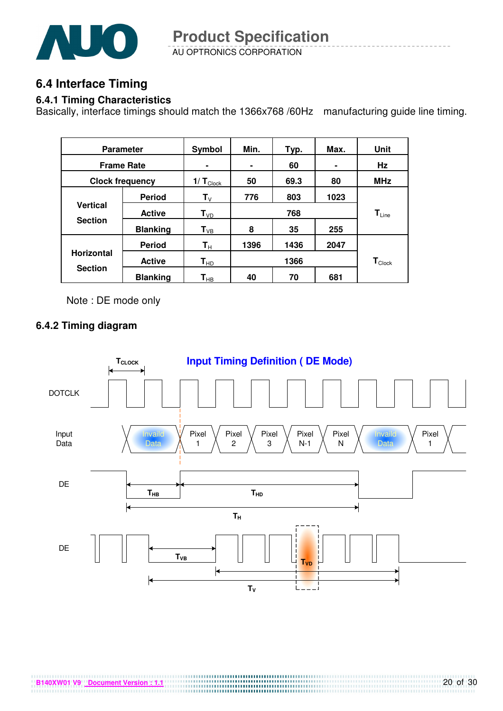

AU OPTRONICS CORPORATION **Product Specification** 

### **6.4 Interface Timing**

#### **6.4.1 Timing Characteristics**

Basically, interface timings should match the 1366x768 /60Hz manufacturing guide line timing.

| <b>Parameter</b>  |                        | Symbol                    | Min. | Typ. | Max. | Unit                         |
|-------------------|------------------------|---------------------------|------|------|------|------------------------------|
|                   | <b>Frame Rate</b>      | ۰                         | ٠    | 60   | ۰    | Hz                           |
|                   | <b>Clock frequency</b> | $1/T_{\text{Clock}}$      | 50   | 69.3 | 80   | <b>MHz</b>                   |
|                   | <b>Period</b>          | $\mathbf{T}_{\mathsf{V}}$ | 776  | 803  | 1023 |                              |
| <b>Vertical</b>   | <b>Active</b>          | $T_{VD}$                  |      | 768  |      | $\mathsf{T}_{\mathsf{Line}}$ |
| <b>Section</b>    | <b>Blanking</b>        | $T_{VB}$                  | 8    | 35   | 255  |                              |
|                   | <b>Period</b>          | $\mathsf{T}_\mathsf{H}$   | 1396 | 1436 | 2047 |                              |
| <b>Horizontal</b> | <b>Active</b>          | $\mathbf{T}_{\sf HD}$     |      | 1366 |      | $\mathbf{T}_{\text{Clock}}$  |
| <b>Section</b>    | <b>Blanking</b>        | $\textsf{T}_{\sf HB}$     | 40   | 70   | 681  |                              |

Note : DE mode only

#### **6.4.2 Timing diagram**



**B140XW01 V9** Document Version : 1.1

20 of 30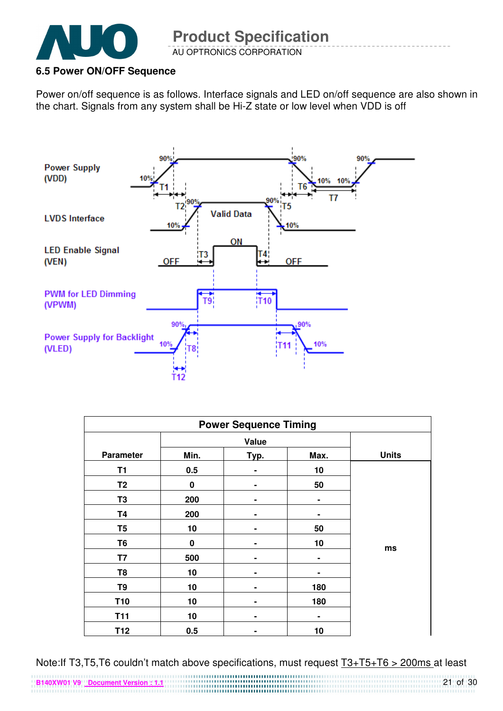

#### **6.5 Power ON/OFF Sequence**

Power on/off sequence is as follows. Interface signals and LED on/off sequence are also shown in the chart. Signals from any system shall be Hi-Z state or low level when VDD is off



| <b>Power Sequence Timing</b> |          |                |                |              |  |
|------------------------------|----------|----------------|----------------|--------------|--|
|                              |          | Value          |                |              |  |
| <b>Parameter</b>             | Min.     | Typ.           | Max.           | <b>Units</b> |  |
| T <sub>1</sub>               | 0.5      |                | 10             |              |  |
| T <sub>2</sub>               | 0        |                | 50             |              |  |
| T <sub>3</sub>               | 200      | -              | $\blacksquare$ |              |  |
| <b>T4</b>                    | 200      | $\blacksquare$ | ٠              |              |  |
| T <sub>5</sub>               | 10       | ۰              | 50             |              |  |
| T6                           | $\bf{0}$ |                | 10             |              |  |
| T7                           | 500      |                | ۰              | ms           |  |
| T8                           | 10       |                |                |              |  |
| T <sub>9</sub>               | 10       |                | 180            |              |  |
| <b>T10</b>                   | 10       | -              | 180            |              |  |
| <b>T11</b>                   | 10       | ۰              | ۰              |              |  |
| T12                          | 0.5      | ۰              | 10             |              |  |

Note:If T3,T5,T6 couldn't match above specifications, must request T3+T5+T6 > 200ms at least 

**B140XW01 V9 Document Version : 1.1**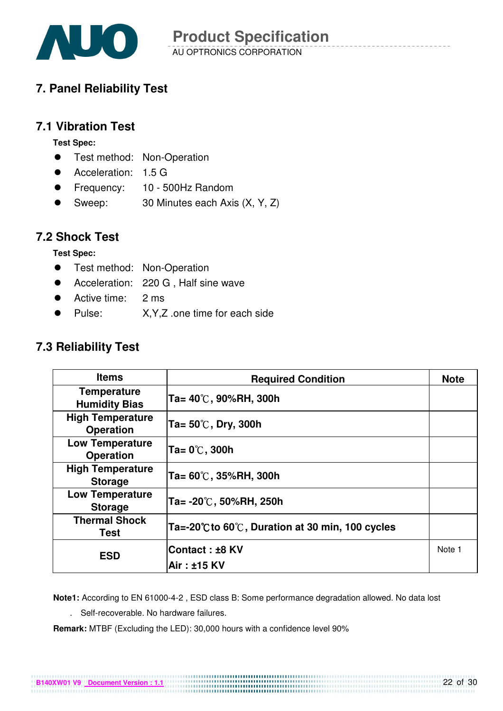

### **7. Panel Reliability Test**

#### **7.1 Vibration Test**

**Test Spec:** 

- **•** Test method: Non-Operation
- Acceleration: 1.5 G
- Frequency: 10 500Hz Random
- Sweep: 30 Minutes each Axis (X, Y, Z)

#### **7.2 Shock Test**

**Test Spec:** 

- **•** Test method: Non-Operation
- Acceleration: 220 G, Half sine wave
- Active time: 2 ms
- Pulse: X, Y, Z .one time for each side

### **7.3 Reliability Test**

| <b>Items</b>                                | <b>Required Condition</b>                        | <b>Note</b> |
|---------------------------------------------|--------------------------------------------------|-------------|
| <b>Temperature</b><br><b>Humidity Bias</b>  | $Ta = 40^{\circ}$ C, 90%RH, 300h                 |             |
| <b>High Temperature</b><br><b>Operation</b> | Ta= $50^{\circ}$ C, Dry, 300h                    |             |
| <b>Low Temperature</b><br><b>Operation</b>  | $Ta = 0^\circ\text{C}$ , 300h                    |             |
| <b>High Temperature</b><br><b>Storage</b>   | $Ta = 60^{\circ}$ C, 35%RH, 300h                 |             |
| <b>Low Temperature</b><br><b>Storage</b>    | $Ta = -20^{\circ}C$ , 50%RH, 250h                |             |
| <b>Thermal Shock</b><br>Test                | Ta=-20°C to 60°C, Duration at 30 min, 100 cycles |             |
| <b>ESD</b>                                  | Contact: ±8 KV                                   | Note 1      |
|                                             | Air: ±15 KV                                      |             |

**Note1:** According to EN 61000-4-2 , ESD class B: Some performance degradation allowed. No data lost

. Self-recoverable. No hardware failures.

**Remark:** MTBF (Excluding the LED): 30,000 hours with a confidence level 90%

**B140XW01 V9 Document Version : 1.1**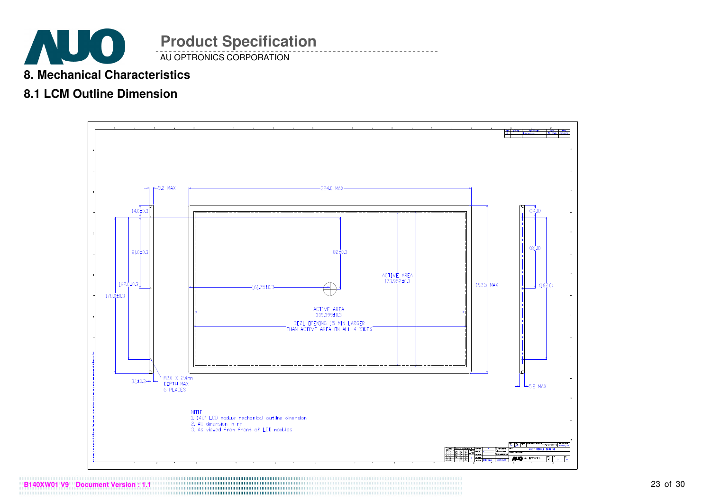

#### **8. Mechanical Characteristics**

### **8.1 LCM Outline Dimension**

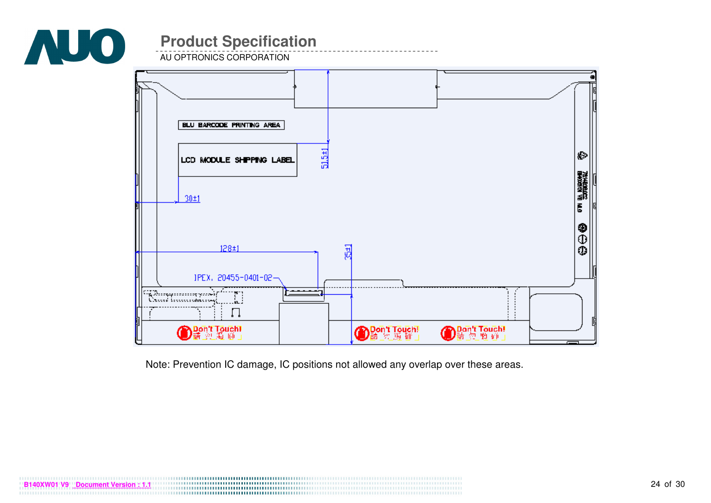

AU OPTRONICS CORPORATION



Note: Prevention IC damage, IC positions not allowed any overlap over these areas.

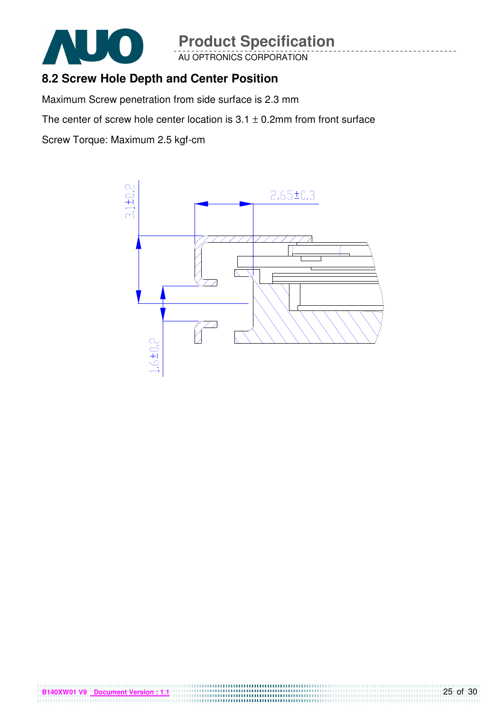

AU OPTRONICS CORPORATION

### **8.2 Screw Hole Depth and Center Position**

Maximum Screw penetration from side surface is 2.3 mm

The center of screw hole center location is  $3.1 \pm 0.2$ mm from front surface

Screw Torque: Maximum 2.5 kgf-cm

**B140XW01 V9 Document Version : 1.1**

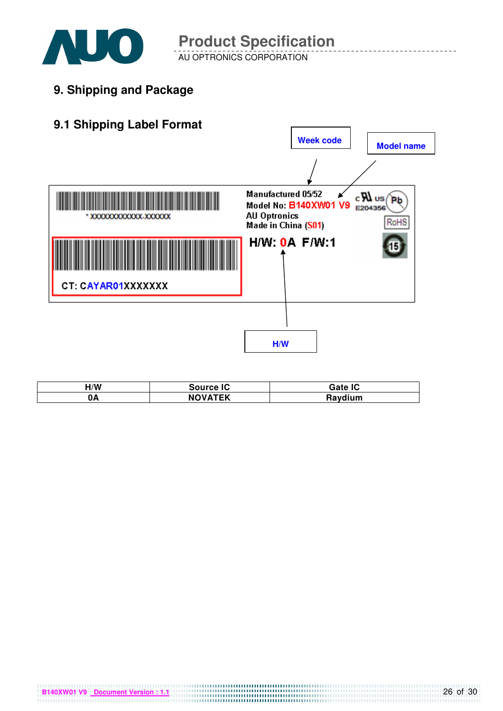

AU OPTRONICS CORPORATION **Product Specification** 

**9. Shipping and Package**



| H/W | <b>Source IC</b> | Gate IC |
|-----|------------------|---------|
| 0A  | <b>NOVATEK</b>   | Raydium |

**B140XW01 V9 Document Version : 1.1 CONSUMER 20140XW01 V9 Document Version : 1.1**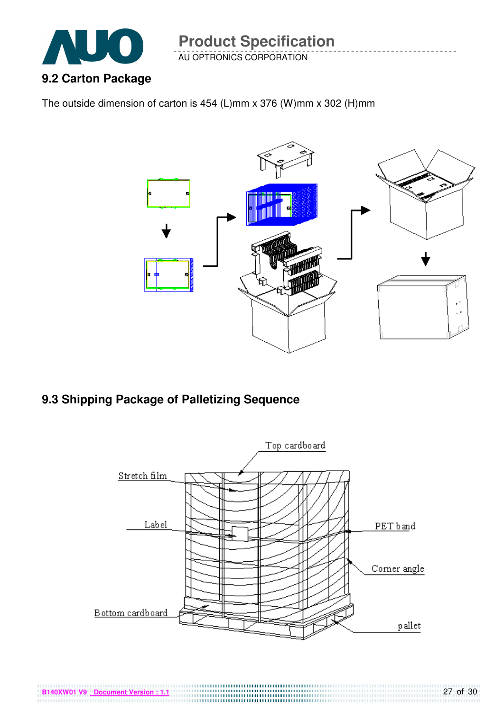

AU OPTRONICS CORPORATION

The outside dimension of carton is 454 (L)mm x 376 (W)mm x 302 (H)mm



### **9.3 Shipping Package of Palletizing Sequence**

**B140XW01 V9 Document Version : 1.1**

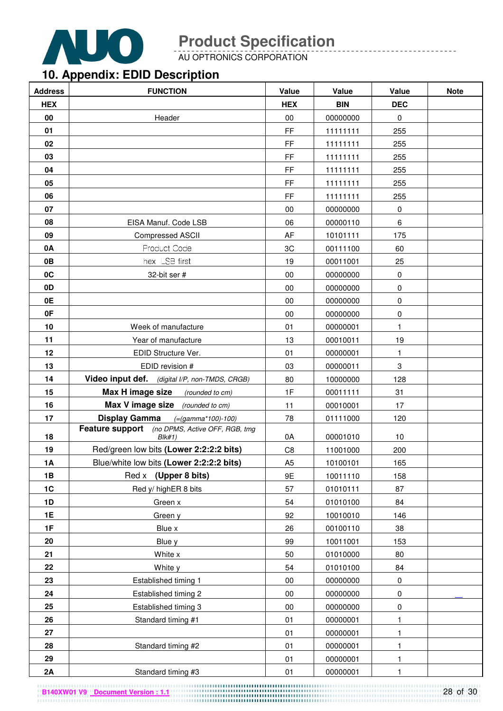

AU OPTRONICS CORPORATION

# **10. Appendix: EDID Description**

| <b>Address</b> | <b>FUNCTION</b>                                          | Value          | Value      | Value        | <b>Note</b> |
|----------------|----------------------------------------------------------|----------------|------------|--------------|-------------|
| <b>HEX</b>     |                                                          | <b>HEX</b>     | <b>BIN</b> | <b>DEC</b>   |             |
| 00             | Header                                                   | 00             | 00000000   | 0            |             |
| 01             |                                                          | FF             | 11111111   | 255          |             |
| 02             |                                                          | FF             | 11111111   | 255          |             |
| 03             |                                                          | FF             | 11111111   | 255          |             |
| 04             |                                                          | FF             | 11111111   | 255          |             |
| 05             |                                                          | FF             | 11111111   | 255          |             |
| 06             |                                                          | FF             | 11111111   | 255          |             |
| 07             |                                                          | 00             | 00000000   | $\pmb{0}$    |             |
| 08             | EISA Manuf. Code LSB                                     | 06             | 00000110   | 6            |             |
| 09             | Compressed ASCII                                         | AF             | 10101111   | 175          |             |
| 0A             | Product Code                                             | 3C             | 00111100   | 60           |             |
| 0B             | hex LSB first                                            | 19             | 00011001   | 25           |             |
| 0C             | 32-bit ser #                                             | 00             | 00000000   | $\pmb{0}$    |             |
| 0D             |                                                          | 00             | 00000000   | $\pmb{0}$    |             |
| 0E             |                                                          | 00             | 00000000   | 0            |             |
| 0F             |                                                          | 00             | 00000000   | 0            |             |
| 10             | Week of manufacture                                      | 01             | 00000001   | 1            |             |
| 11             | Year of manufacture                                      | 13             | 00010011   | 19           |             |
| 12             | EDID Structure Ver.                                      | 01             | 00000001   | 1.           |             |
| 13             | EDID revision #                                          | 03             | 00000011   | $\,3$        |             |
| 14             | Video input def. (digital I/P, non-TMDS, CRGB)           | 80             | 10000000   | 128          |             |
| 15             | Max H image size<br>(rounded to cm)                      | 1F             | 00011111   | 31           |             |
| 16             | Max V image size (rounded to cm)                         | 11             | 00010001   | 17           |             |
| 17             | <b>Display Gamma</b><br>$( = (gamma * 100) - 100)$       | 78             | 01111000   | 120          |             |
| 18             | Feature support (no DPMS, Active OFF, RGB, tmg<br>Blk#1) | 0A             | 00001010   | 10           |             |
| 19             | Red/green low bits (Lower 2:2:2:2 bits)                  | C <sub>8</sub> | 11001000   | 200          |             |
| <b>1A</b>      | Blue/white low bits (Lower 2:2:2:2 bits)                 | A <sub>5</sub> | 10100101   | 165          |             |
| 1B             | Red x (Upper 8 bits)                                     | 9E             | 10011110   | 158          |             |
| 1C             | Red y/ highER 8 bits                                     | 57             | 01010111   | 87           |             |
| 1D             | Green x                                                  | 54             | 01010100   | 84           |             |
| <b>1E</b>      | Green y                                                  | 92             | 10010010   | 146          |             |
| 1F             | Blue x                                                   | 26             | 00100110   | 38           |             |
| 20             | Blue y                                                   | 99             | 10011001   | 153          |             |
| 21             | White x                                                  | 50             | 01010000   | 80           |             |
| 22             | White y                                                  | 54             | 01010100   | 84           |             |
| 23             | Established timing 1                                     | 00             | 00000000   | $\pmb{0}$    |             |
| 24             | Established timing 2                                     | 00             | 00000000   | $\pmb{0}$    |             |
| 25             | Established timing 3                                     | $00\,$         | 00000000   | $\pmb{0}$    |             |
| 26             | Standard timing #1                                       | 01             | 00000001   | $\mathbf{1}$ |             |
| 27             |                                                          | 01             | 00000001   | 1            |             |
| 28             | Standard timing #2                                       | 01             | 00000001   | 1            |             |
| 29             |                                                          | 01             | 00000001   | $\mathbf{1}$ |             |
| 2A             | Standard timing #3                                       | 01             | 00000001   | 1            |             |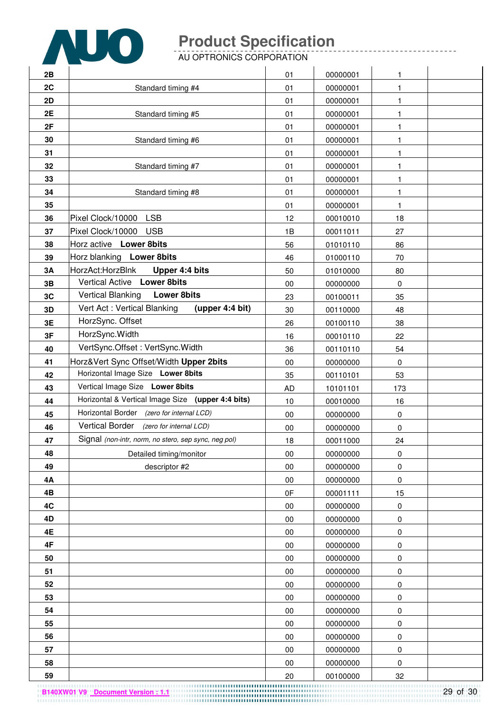

AU OPTRONICS CORPORATION

| 2B        |                                                      | 01        | 00000001 | 1            |  |
|-----------|------------------------------------------------------|-----------|----------|--------------|--|
| 2C        | Standard timing #4                                   | 01        | 00000001 | 1            |  |
| 2D        |                                                      | 01        | 00000001 | 1            |  |
| 2E        | Standard timing #5                                   | 01        | 00000001 | 1            |  |
| 2F        |                                                      | 01        | 00000001 | 1            |  |
| 30        | Standard timing #6                                   | 01        | 00000001 | 1            |  |
| 31        |                                                      | 01        | 00000001 | 1            |  |
| 32        | Standard timing #7                                   | 01        | 00000001 | $\mathbf{1}$ |  |
| 33        |                                                      | 01        | 00000001 | 1            |  |
| 34        | Standard timing #8                                   | 01        | 00000001 | $\mathbf{1}$ |  |
| 35        |                                                      | 01        | 00000001 | 1            |  |
| 36        | Pixel Clock/10000 LSB                                | 12        | 00010010 | 18           |  |
| 37        | Pixel Clock/10000 USB                                | 1B        | 00011011 | 27           |  |
| 38        | Horz active Lower 8bits                              | 56        | 01010110 | 86           |  |
| 39        | Horz blanking Lower 8bits                            | 46        | 01000110 | 70           |  |
| 3A        | HorzAct:HorzBlnk<br>Upper 4:4 bits                   | 50        | 01010000 | 80           |  |
| 3B        | Vertical Active Lower 8bits                          | 00        | 00000000 | $\mathbf 0$  |  |
| 3C        | <b>Vertical Blanking</b><br><b>Lower 8bits</b>       | 23        | 00100011 | 35           |  |
| 3D        | Vert Act: Vertical Blanking<br>(upper 4:4 bit)       | 30        | 00110000 | 48           |  |
| 3E        | HorzSync. Offset                                     | 26        | 00100110 | 38           |  |
| 3F        | HorzSync. Width                                      | 16        | 00010110 | 22           |  |
| 40        | VertSync.Offset: VertSync.Width                      | 36        | 00110110 | 54           |  |
| 41        | Horz‖ Sync Offset/Width Upper 2bits                  | 00        | 00000000 | $\mathbf 0$  |  |
| 42        | Horizontal Image Size Lower 8bits                    | 35        | 00110101 | 53           |  |
| 43        | Vertical Image Size Lower 8bits                      | <b>AD</b> | 10101101 | 173          |  |
| 44        | Horizontal & Vertical Image Size (upper 4:4 bits)    | 10        | 00010000 | 16           |  |
| 45        | Horizontal Border (zero for internal LCD)            | 00        | 00000000 | $\pmb{0}$    |  |
| 46        | Vertical Border (zero for internal LCD)              | $00\,$    | 00000000 | $\mathbf 0$  |  |
| 47        | Signal (non-intr, norm, no stero, sep sync, neg pol) | 18        | 00011000 | 24           |  |
| 48        | Detailed timing/monitor                              | 00        | 00000000 | $\pmb{0}$    |  |
| 49        | descriptor #2                                        | $00\,$    | 00000000 | 0            |  |
| <b>4A</b> |                                                      | 00        | 00000000 | $\pmb{0}$    |  |
| 4B        |                                                      | 0F        | 00001111 | 15           |  |
| 4C        |                                                      | 00        | 00000000 | 0            |  |
| 4D        |                                                      | 00        | 00000000 | $\pmb{0}$    |  |
| 4E        |                                                      | $00\,$    | 00000000 | $\pmb{0}$    |  |
| 4F        |                                                      | $00\,$    | 00000000 | $\pmb{0}$    |  |
| 50        |                                                      | $00\,$    | 00000000 | $\pmb{0}$    |  |
| 51        |                                                      | 00        | 00000000 | $\pmb{0}$    |  |
| 52        |                                                      | 00        | 00000000 | 0            |  |
| 53        |                                                      | $00\,$    | 00000000 | $\pmb{0}$    |  |
| 54        |                                                      | $00\,$    | 00000000 | $\pmb{0}$    |  |
| 55        |                                                      | $00\,$    | 00000000 | 0            |  |
| 56        |                                                      | $00\,$    | 00000000 | $\pmb{0}$    |  |
| 57        |                                                      | 00        | 00000000 | 0            |  |
| 58        |                                                      | $00\,$    | 00000000 | 0            |  |
| 59        |                                                      | 20        | 00100000 | 32           |  |

29 of 30 **B140XW01 V9 Document Version : 1.1**